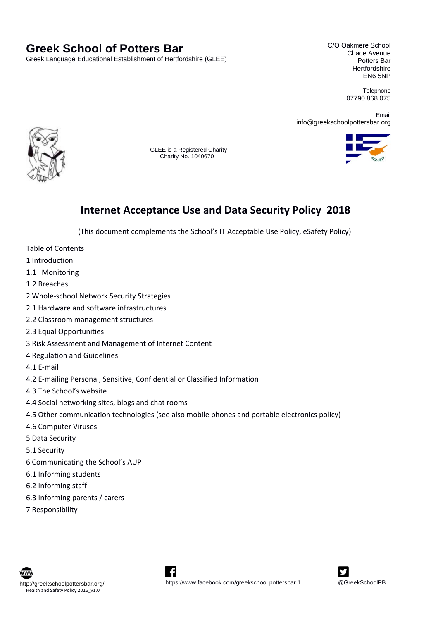# **Greek School of Potters Bar**

Greek Language Educational Establishment of Hertfordshire (GLEE)

C/O Oakmere School Chace Avenue Potters Bar **Hertfordshire** EN6 5NP

> Telephone 07790 868 075

Email info@greekschoolpottersbar.org



 GLEE is a Registered Charity Charity No. 1040670



# **Internet Acceptance Use and Data Security Policy 2018**

(This document complements the School's IT Acceptable Use Policy, eSafety Policy)

- Table of Contents
- 1 Introduction
- 1.1   Monitoring
- 1.2 Breaches
- 2 Whole‐school Network Security Strategies
- 2.1 Hardware and software infrastructures
- 2.2 Classroom management structures
- 2.3 Equal Opportunities
- 3 Risk Assessment and Management of Internet Content
- 4 Regulation and Guidelines
- 4.1 E‐mail
- 4.2 E‐mailing Personal, Sensitive, Confidential or Classified Information
- 4.3 The School's website
- 4.4 Social networking sites, blogs and chat rooms
- 4.5 Other communication technologies (see also mobile phones and portable electronics policy)
- 4.6 Computer Viruses
- 5 Data Security
- 5.1 Security
- 6 Communicating the School's AUP
- 6.1 Informing students
- 6.2 Informing staff
- 6.3 Informing parents / carers
- 7 Responsibility





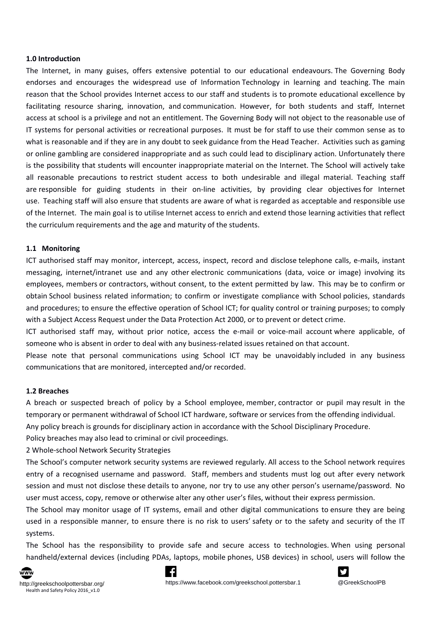#### **1.0 Introduction**

The Internet, in many guises, offers extensive potential to our educational endeavours. The Governing Body endorses and encourages the widespread use of Information Technology in learning and teaching. The main reason that the School provides Internet access to our staff and students is to promote educational excellence by facilitating resource sharing, innovation, and communication. However, for both students and staff, Internet access at school is a privilege and not an entitlement. The Governing Body will not object to the reasonable use of IT systems for personal activities or recreational purposes.  It must be for staff to use their common sense as to what is reasonable and if they are in any doubt to seek guidance from the Head Teacher.  Activities such as gaming or online gambling are considered inappropriate and as such could lead to disciplinary action. Unfortunately there is the possibility that students will encounter inappropriate material on the Internet. The School will actively take all reasonable precautions to restrict student access to both undesirable and illegal material. Teaching staff are responsible for guiding students in their on-line activities, by providing clear objectives for Internet use.  Teaching staff will also ensure that students are aware of what is regarded as acceptable and responsible use of the Internet.  The main goal is to utilise Internet access to enrich and extend those learning activities that reflect the curriculum requirements and the age and maturity of the students.

#### **1.1   Monitoring**

ICT authorised staff may monitor, intercept, access, inspect, record and disclose telephone calls, e‐mails, instant messaging, internet/intranet use and any other electronic communications (data, voice or image) involving its employees, members or contractors, without consent, to the extent permitted by law.  This may be to confirm or obtain School business related information; to confirm or investigate compliance with School policies, standards and procedures; to ensure the effective operation of School ICT; for quality control or training purposes; to comply with a Subject Access Request under the Data Protection Act 2000, or to prevent or detect crime.  

ICT authorised staff may, without prior notice, access the e‐mail or voice‐mail account where applicable, of someone who is absent in order to deal with any business-related issues retained on that account.

Please note that personal communications using School ICT may be unavoidably included in any business communications that are monitored, intercepted and/or recorded.  

#### **1.2 Breaches**

A breach or suspected breach of policy by a School employee, member, contractor or pupil may result in the temporary or permanent withdrawal of School ICT hardware, software or services from the offending individual.  

Any policy breach is grounds for disciplinary action in accordance with the School Disciplinary Procedure.    

Policy breaches may also lead to criminal or civil proceedings.  

2 Whole‐school Network Security Strategies

The School's computer network security systems are reviewed regularly. All access to the School network requires entry of a recognised username and password.   Staff, members and students must log out after every network session and must not disclose these details to anyone, nor try to use any other person's username/password.  No user must access, copy, remove or otherwise alter any other user's files, without their express permission.

The School may monitor usage of IT systems, email and other digital communications to ensure they are being used in a responsible manner, to ensure there is no risk to users' safety or to the safety and security of the IT systems.

The School has the responsibility to provide safe and secure access to technologies. When using personal handheld/external devices (including PDAs, laptops, mobile phones, USB devices) in school, users will follow the





http://greekschoolpottersbar.org/ https://www.facebook.com/greekschool.pottersbar.1 @GreekSchoolPB

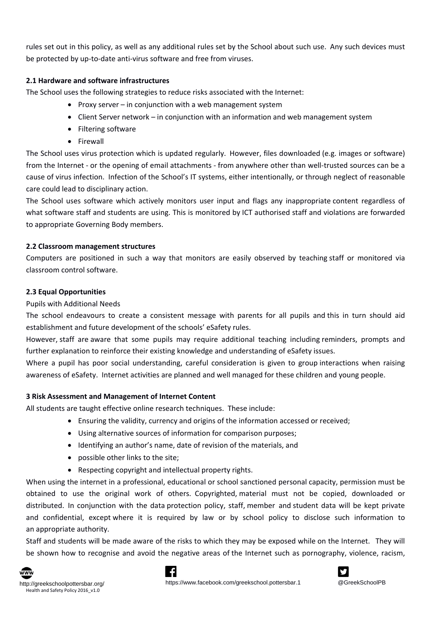rules set out in this policy, as well as any additional rules set by the School about such use.  Any such devices must be protected by up-to-date anti-virus software and free from viruses.

## **2.1 Hardware and software infrastructures**

The School uses the following strategies to reduce risks associated with the Internet:

- Proxy server in conjunction with a web management system
- Client Server network in conjunction with an information and web management system
- Filtering software
- Firewall

The School uses virus protection which is updated regularly.  However, files downloaded (e.g. images or software) from the Internet - or the opening of email attachments - from anywhere other than well-trusted sources can be a cause of virus infection.  Infection of the School's IT systems, either intentionally, or through neglect of reasonable care could lead to disciplinary action.

The School uses software which actively monitors user input and flags any inappropriate content regardless of what software staff and students are using. This is monitored by ICT authorised staff and violations are forwarded to appropriate Governing Body members.  

### **2.2 Classroom management structures**

Computers are positioned in such a way that monitors are easily observed by teaching staff or monitored via classroom control software.

# **2.3 Equal Opportunities**

Pupils with Additional Needs

The school endeavours to create a consistent message with parents for all pupils and this in turn should aid establishment and future development of the schools' eSafety rules.

However, staff are aware that some pupils may require additional teaching including reminders, prompts and further explanation to reinforce their existing knowledge and understanding of eSafety issues.   

Where a pupil has poor social understanding, careful consideration is given to group interactions when raising awareness of eSafety.  Internet activities are planned and well managed for these children and young people.

# **3 Risk Assessment and Management of Internet Content**

All students are taught effective online research techniques.  These include:

- Ensuring the validity, currency and origins of the information accessed or received;
- Using alternative sources of information for comparison purposes;
- Identifying an author's name, date of revision of the materials, and
- possible other links to the site;
- Respecting copyright and intellectual property rights.

When using the internet in a professional, educational or school sanctioned personal capacity, permission must be obtained to use the original work of others.  Copyrighted, material must not be copied, downloaded or distributed.  In conjunction with the data protection policy, staff, member and student data will be kept private and confidential, except where it is required by law or by school policy to disclose such information to an appropriate authority.

Staff and students will be made aware of the risks to which they may be exposed while on the Internet.   They will be shown how to recognise and avoid the negative areas of the Internet such as pornography, violence, racism,



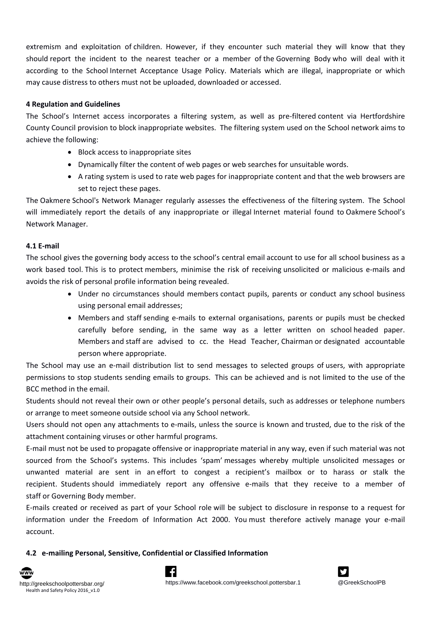extremism and exploitation of children.  However, if they encounter such material they will know that they should report the incident to the nearest teacher or a member of the Governing Body who will deal with it according to the School Internet Acceptance Usage Policy.  Materials which are illegal, inappropriate or which may cause distress to others must not be uploaded, downloaded or accessed.

### **4 Regulation and Guidelines**

The School's Internet access incorporates a filtering system, as well as pre-filtered content via Hertfordshire County Council provision to block inappropriate websites.  The filtering system used on the School network aims to achieve the following:

- Block access to inappropriate sites
- Dynamically filter the content of web pages or web searches for unsuitable words.
- A rating system is used to rate web pages for inappropriate content and that the web browsers are set to reject these pages.

The Oakmere School's Network Manager regularly assesses the effectiveness of the filtering system.  The School will immediately report the details of any inappropriate or illegal Internet material found to Oakmere School's Network Manager.

#### **4.1 E‐mail**

The school gives the governing body access to the school's central email account to use for all school business as a work based tool. This is to protect members, minimise the risk of receiving unsolicited or malicious e-mails and avoids the risk of personal profile information being revealed.

- Under no circumstances should members contact pupils, parents or conduct any school business using personal email addresses;
- Members and staff sending e‐mails to external organisations, parents or pupils must be checked carefully before sending, in the same way as a letter written on school headed paper. Members and staff are advised to cc. the Head Teacher, Chairman or designated accountable person where appropriate.

The School may use an e-mail distribution list to send messages to selected groups of users, with appropriate permissions to stop students sending emails to groups. This can be achieved and is not limited to the use of the BCC method in the email.

Students should not reveal their own or other people's personal details, such as addresses or telephone numbers or arrange to meet someone outside school via any School network.

Users should not open any attachments to e‐mails, unless the source is known and trusted, due to the risk of the attachment containing viruses or other harmful programs.

E‐mail must not be used to propagate offensive or inappropriate material in any way, even if such material was not sourced from the School's systems.  This includes 'spam' messages whereby multiple unsolicited messages or unwanted material are sent in an effort to congest a recipient's mailbox or to harass or stalk the recipient. Students should immediately report any offensive e-mails that they receive to a member of staff or Governing Body member.

E‐mails created or received as part of your School role will be subject to disclosure in response to a request for information under the Freedom of Information Act 2000. You must therefore actively manage your e-mail account.

### **4.2   e‐mailing Personal, Sensitive, Confidential or Classified Information**



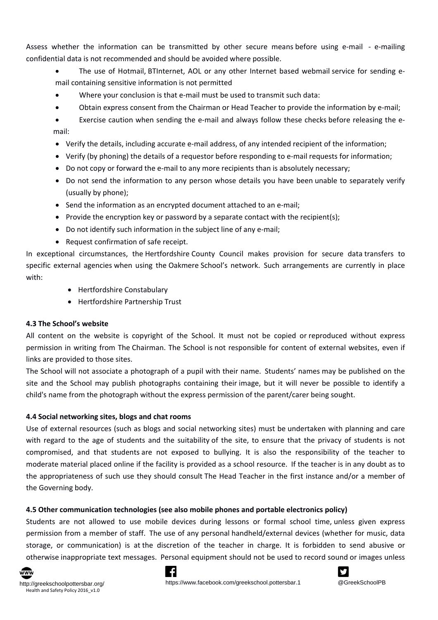Assess whether the information can be transmitted by other secure means before using e-mail - e-mailing confidential data is not recommended and should be avoided where possible.

- The use of Hotmail, BTInternet, AOL or any other Internet based webmail service for sending email containing sensitive information is not permitted
- Where your conclusion is that e-mail must be used to transmit such data:
- Obtain express consent from the Chairman or Head Teacher to provide the information by e‐mail;

■ Exercise caution when sending the e-mail and always follow these checks before releasing the email:

- Verify the details, including accurate e-mail address, of any intended recipient of the information;
- Verify (by phoning) the details of a requestor before responding to e‐mail requests for information;
- Do not copy or forward the e-mail to any more recipients than is absolutely necessary;
- Do not send the information to any person whose details you have been unable to separately verify (usually by phone);
- Send the information as an encrypted document attached to an e-mail;
- Provide the encryption key or password by a separate contact with the recipient(s);
- Do not identify such information in the subject line of any e-mail;
- Request confirmation of safe receipt.

In exceptional circumstances, the Hertfordshire County Council makes provision for secure data transfers to specific external agencies when using the Oakmere School's network.  Such arrangements are currently in place with:

- Hertfordshire Constabulary
- Hertfordshire Partnership Trust

# **4.3 The School's website**

All content on the website is copyright of the School. It must not be copied or reproduced without express permission in writing from The Chairman. The School is not responsible for content of external websites, even if links are provided to those sites.

The School will not associate a photograph of a pupil with their name.  Students' names may be published on the site and the School may publish photographs containing their image, but it will never be possible to identify a child's name from the photograph without the express permission of the parent/carer being sought.

# **4.4 Social networking sites, blogs and chat rooms**

Use of external resources (such as blogs and social networking sites) must be undertaken with planning and care with regard to the age of students and the suitability of the site, to ensure that the privacy of students is not compromised, and that students are not exposed to bullying. It is also the responsibility of the teacher to moderate material placed online if the facility is provided as a school resource.  If the teacher is in any doubt as to the appropriateness of such use they should consult The Head Teacher in the first instance and/or a member of the Governing body.

# **4.5 Other communication technologies (see also mobile phones and portable electronics policy)**

Students are not allowed to use mobile devices during lessons or formal school time, unless given express permission from a member of staff.  The use of any personal handheld/external devices (whether for music, data storage, or communication) is at the discretion of the teacher in charge.  It is forbidden to send abusive or otherwise inappropriate text messages.  Personal equipment should not be used to record sound or images unless





http://greekschoolpottersbar.org/ https://www.facebook.com/greekschool.pottersbar.1 @GreekSchoolPB

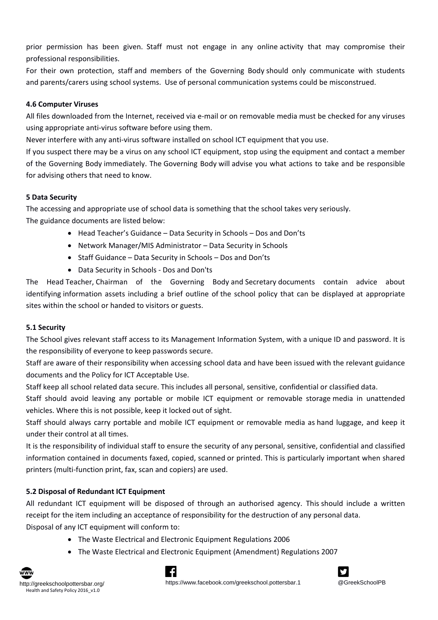prior permission has been given.  Staff must not engage in any online activity that may compromise their professional responsibilities.

For their own protection, staff and members of the Governing Body should only communicate with students and parents/carers using school systems.  Use of personal communication systems could be misconstrued.

## **4.6 Computer Viruses**

All files downloaded from the Internet, received via e-mail or on removable media must be checked for any viruses using appropriate anti‐virus software before using them.

Never interfere with any anti‐virus software installed on school ICT equipment that you use.

If you suspect there may be a virus on any school ICT equipment, stop using the equipment and contact a member of the Governing Body immediately. The Governing Body will advise you what actions to take and be responsible for advising others that need to know.

### **5 Data Security**

The accessing and appropriate use of school data is something that the school takes very seriously. The guidance documents are listed below:

- Head Teacher's Guidance Data Security in Schools Dos and Don'ts
- Network Manager/MIS Administrator Data Security in Schools
- Staff Guidance Data Security in Schools Dos and Don'ts
- Data Security in Schools ‐ Dos and Don'ts

The Head Teacher, Chairman of the Governing Body and Secretary documents contain advice about identifying information assets including a brief outline of the school policy that can be displayed at appropriate sites within the school or handed to visitors or guests.

# **5.1 Security**

The School gives relevant staff access to its Management Information System, with a unique ID and password. It is the responsibility of everyone to keep passwords secure.

Staff are aware of their responsibility when accessing school data and have been issued with the relevant guidance documents and the Policy for ICT Acceptable Use.

Staff keep all school related data secure. This includes all personal, sensitive, confidential or classified data.

Staff should avoid leaving any portable or mobile ICT equipment or removable storage media in unattended vehicles. Where this is not possible, keep it locked out of sight.

Staff should always carry portable and mobile ICT equipment or removable media as hand luggage, and keep it under their control at all times.

It is the responsibility of individual staff to ensure the security of any personal, sensitive, confidential and classified information contained in documents faxed, copied, scanned or printed. This is particularly important when shared printers (multi‐function print, fax, scan and copiers) are used.

# **5.2 Disposal of Redundant ICT Equipment**

All redundant ICT equipment will be disposed of through an authorised agency.  This should include a written receipt for the item including an acceptance of responsibility for the destruction of any personal data. Disposal of any ICT equipment will conform to:

The Waste Electrical and Electronic Equipment Regulations 2006

Lf.

The Waste Electrical and Electronic Equipment (Amendment) Regulations 2007